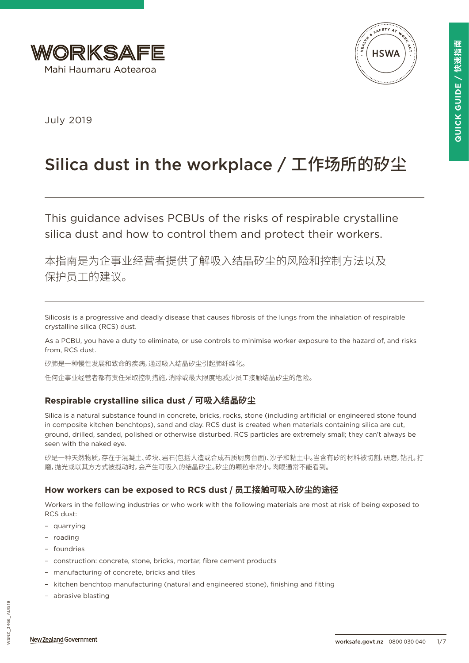



July 2019

# Silica dust in the workplace / 工作场所的矽尘

This guidance advises PCBUs of the risks of respirable crystalline silica dust and how to control them and protect their workers.

本指南是为企事业经营者提供了解吸入结晶矽尘的风险和控制方法以及 保护员工的建议。

Silicosis is a progressive and deadly disease that causes fibrosis of the lungs from the inhalation of respirable crystalline silica (RCS) dust.

As a PCBU, you have a duty to eliminate, or use controls to minimise worker exposure to the hazard of, and risks from, RCS dust.

矽肺是一种慢性发展和致命的疾病,通过吸入结晶矽尘引起肺纤维化。

任何企事业经营者都有责任采取控制措施,消除或最大限度地减少员工接触结晶矽尘的危险。

# **Respirable crystalline silica dust / 可吸入结晶矽尘**

Silica is a natural substance found in concrete, bricks, rocks, stone (including artificial or engineered stone found in composite kitchen benchtops), sand and clay. RCS dust is created when materials containing silica are cut, ground, drilled, sanded, polished or otherwise disturbed. RCS particles are extremely small; they can't always be seen with the naked eye.

矽是一种天然物质,存在于混凝土、砖块、岩石(包括人造或合成石质厨房台面)、沙子和粘土中。当含有矽的材料被切割,研磨,钻孔,打 磨,抛光或以其方方式被搅动时,会产生可吸入的结晶矽尘。矽尘的颗粒非常小,肉眼通常不能看到。

# **How workers can be exposed to RCS dust / 员工接触可吸入矽尘的途径**

Workers in the following industries or who work with the following materials are most at risk of being exposed to RCS dust:

- quarrying
- roading
- foundries
- construction: concrete, stone, bricks, mortar, fibre cement products
- manufacturing of concrete, bricks and tiles
- kitchen benchtop manufacturing (natural and engineered stone), finishing and fitting
- abrasive blasting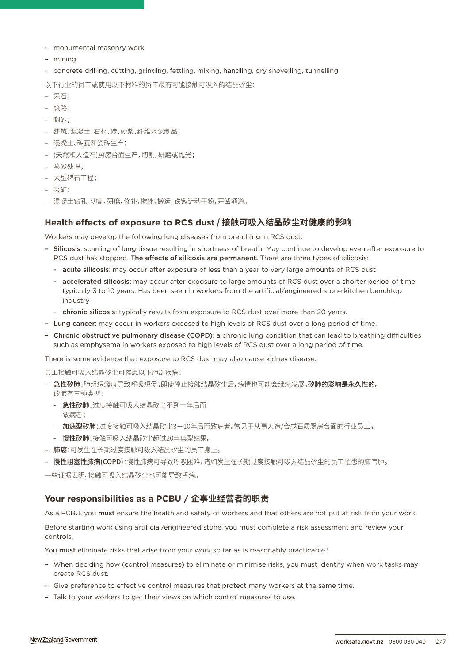- monumental masonry work
- mining
- concrete drilling, cutting, grinding, fettling, mixing, handling, dry shovelling, tunnelling.

以下行业的员工或使用以下材料的员工最有可能接触可吸入的结晶矽尘:

- 采石;
- 筑路;
- 翻砂;
- 建筑:混凝土、石材、砖、砂浆、纤维水泥制品;
- 混凝土、砖瓦和瓷砖生产;
- (天然和人造石)厨房台面生产,切割,研磨或抛光;
- 喷砂处理;
- 大型碑石工程;
- 采矿;
- 混凝土钻孔,切割,研磨,修补,搅拌,搬运,铁锹铲动干粉,开凿通道。

## **Health effects of exposure to RCS dust / 接触可吸入结晶矽尘对健康的影响**

Workers may develop the following lung diseases from breathing in RCS dust:

- Silicosis: scarring of lung tissue resulting in shortness of breath. May continue to develop even after exposure to RCS dust has stopped. The effects of silicosis are permanent. There are three types of silicosis:
	- acute silicosis: may occur after exposure of less than a year to very large amounts of RCS dust
	- accelerated silicosis: may occur after exposure to large amounts of RCS dust over a shorter period of time, typically 3 to 10 years. Has been seen in workers from the artificial/engineered stone kitchen benchtop industry
	- chronic silicosis: typically results from exposure to RCS dust over more than 20 years.
- Lung cancer: may occur in workers exposed to high levels of RCS dust over a long period of time.
- Chronic obstructive pulmonary disease (COPD): a chronic lung condition that can lead to breathing difficulties such as emphysema in workers exposed to high levels of RCS dust over a long period of time.

There is some evidence that exposure to RCS dust may also cause kidney disease.

员工接触可吸入结晶矽尘可罹患以下肺部疾病:

- 急性矽肺:肺组织瘢痕导致呼吸短促。即使停止接触结晶矽尘后,病情也可能会继续发展。矽肺的影响是永久性的。 矽肺有三种类型:
	- 急性矽肺:过度接触可吸入结晶矽尘不到一年后而 致病者;
	- 加速型矽肺:过度接触可吸入结晶矽尘3-10年后而致病者。常见于从事人造/合成石质厨房台面的行业员工。
	- 慢性矽肺:接触可吸入结晶矽尘超过20年典型结果。
- 肺癌:可发生在长期过度接触可吸入结晶矽尘的员工身上。
- 慢性阻塞性肺病(COPD):慢性肺病可导致呼吸困难,诸如发生在长期过度接触可吸入结晶矽尘的员工罹患的肺气肿。

一些证据表明,接触可吸入结晶矽尘也可能导致肾病。

# **Your responsibilities as a PCBU / 企事业经营者的职责**

As a PCBU, you must ensure the health and safety of workers and that others are not put at risk from your work.

Before starting work using artificial/engineered stone, you must complete a risk assessment and review your controls.

You must eliminate risks that arise from your work so far as is reasonably practicable.<sup>1</sup>

- When deciding how (control measures) to eliminate or minimise risks, you must identify when work tasks may create RCS dust.
- Give preference to effective control measures that protect many workers at the same time.
- Talk to your workers to get their views on which control measures to use.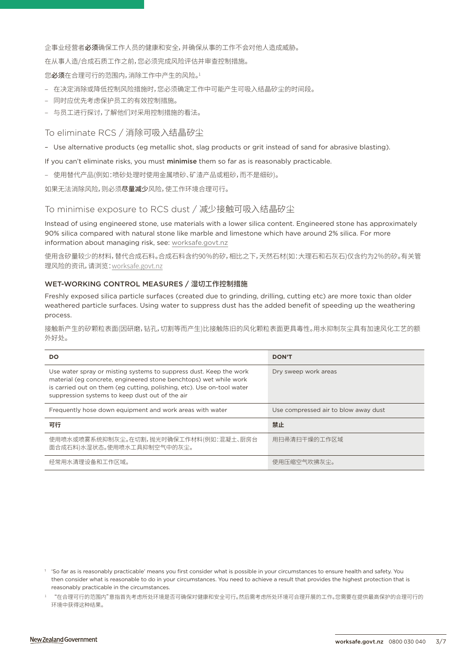企事业经营者必须确保工作人员的健康和安全,并确保从事的工作不会对他人造成威胁。

在从事人造/合成石质工作之前,您必须完成风险评估并审查控制措施。

您必须在合理可行的范围内,消除工作中产生的风险。1

- 在决定消除或降低控制风险措施时,您必须确定工作中可能产生可吸入结晶矽尘的时间段。
- 同时应优先考虑保护员工的有效控制措施。
- 与员工进行探讨,了解他们对采用控制措施的看法。

## To eliminate RCS / 消除可吸入结晶矽尘

– Use alternative products (eg metallic shot, slag products or grit instead of sand for abrasive blasting).

If you can't eliminate risks, you must minimise them so far as is reasonably practicable.

– 使用替代产品(例如:喷砂处理时使用金属喷砂、矿渣产品或粗砂,而不是细砂)。

如果无法消除风险,则必须尽量减少风险,使工作环境合理可行。

## To minimise exposure to RCS dust / 减少接触可吸入结晶矽尘

Instead of using engineered stone, use materials with a lower silica content. Engineered stone has approximately 90% silica compared with natural stone like marble and limestone which have around 2% silica. For more information about managing risk, see: [worksafe.govt.nz](https://worksafe.govt.nz/managing-health-and-safety/managing-risks/how-to-manage-work-risks/)

使用含矽量较少的材料,替代合成石料。合成石料含约90%的矽,相比之下,天然石材(如:大理石和石灰石)仅含约为2%的矽。有关管 理风险的资讯,请浏览[:worksafe.govt.nz](https://worksafe.govt.nz/managing-health-and-safety/managing-risks/how-to-manage-work-risks/)

### WET-WORKING CONTROL MEASURES / 湿切工作控制措施

Freshly exposed silica particle surfaces (created due to grinding, drilling, cutting etc) are more toxic than older weathered particle surfaces. Using water to suppress dust has the added benefit of speeding up the weathering process.

接触新产生的矽颗粒表面(因研磨,钻孔,切割等而产生)比接触陈旧的风化颗粒表面更具毒性。用水抑制灰尘具有加速风化工艺的额 外好处。

| DO                                                                                                                                                                                                                                                                   | <b>DON'T</b>                         |
|----------------------------------------------------------------------------------------------------------------------------------------------------------------------------------------------------------------------------------------------------------------------|--------------------------------------|
| Use water spray or misting systems to suppress dust. Keep the work<br>material (eg concrete, engineered stone benchtops) wet while work<br>is carried out on them (eg cutting, polishing, etc). Use on-tool water<br>suppression systems to keep dust out of the air | Dry sweep work areas                 |
| Frequently hose down equipment and work areas with water                                                                                                                                                                                                             | Use compressed air to blow away dust |
| 可行                                                                                                                                                                                                                                                                   | 禁止                                   |
| 使用喷水或喷雾系统抑制灰尘。在切割,抛光时确保工作材料(例如:混凝土、厨房台<br>面合成石料)水湿状态。使用喷水工具抑制空气中的灰尘。                                                                                                                                                                                                 | 用扫帚清扫干燥的工作区域                         |
| 经常用水清理设备和工作区域。                                                                                                                                                                                                                                                       | 使用压缩空气吹拂灰尘。                          |

<sup>&</sup>lt;sup>1</sup> 'So far as is reasonably practicable' means you first consider what is possible in your circumstances to ensure health and safety. You then consider what is reasonable to do in your circumstances. You need to achieve a result that provides the highest protection that is reasonably practicable in the circumstances.

<sup>1</sup> "在合理可行的范围内"意指首先考虑所处环境是否可确保对健康和安全可行。然后需考虑所处环境可合理开展的工作。您需要在提供最高保护的合理可行的 环境中获得这种结果。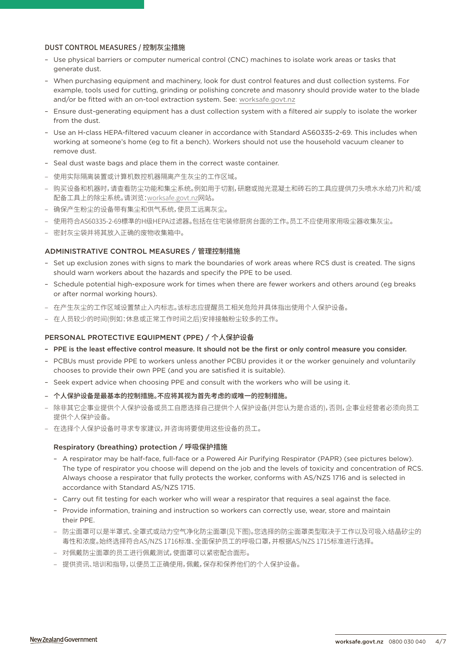## DUST CONTROL MEASURES / 控制灰尘措施

- Use physical barriers or computer numerical control (CNC) machines to isolate work areas or tasks that generate dust.
- When purchasing equipment and machinery, look for dust control features and dust collection systems. For example, tools used for cutting, grinding or polishing concrete and masonry should provide water to the blade and/or be fitted with an on-tool extraction system. See: [worksafe.govt.nz](https://worksafe.govt.nz/topic-and-industry/dust-and-fumes/dust/controlling-construction-dust-with-on-tool-extraction/)
- Ensure dust-generating equipment has a dust collection system with a filtered air supply to isolate the worker from the dust.
- Use an H-class HEPA-filtered vacuum cleaner in accordance with Standard AS60335-2-69. This includes when working at someone's home (eg to fit a bench). Workers should not use the household vacuum cleaner to remove dust.
- Seal dust waste bags and place them in the correct waste container.
- 使用实际隔离装置或计算机数控机器隔离产生灰尘的工作区域。
- 购买设备和机器时,请查看防尘功能和集尘系统。例如用于切割,研磨或抛光混凝土和砖石的工具应提供刀头喷水水给刀片和/或 配备工具上的除尘系统。请浏览[:worksafe.govt.nz网站。](https://worksafe.govt.nz/topic-and-industry/dust-and-fumes/dust/controlling-construction-dust-with-on-tool-extraction/)
- 确保产生粉尘的设备带有集尘和供气系统,使员工远离灰尘。
- 使用符合AS60335-2-69標準的H级HEPA过滤器。包括在住宅装修厨房台面的工作。员工不应使用家用吸尘器收集灰尘。
- 密封灰尘袋并将其放入正确的废物收集箱中。

## ADMINISTRATIVE CONTROL MEASURES / 管理控制措施

- Set up exclusion zones with signs to mark the boundaries of work areas where RCS dust is created. The signs should warn workers about the hazards and specify the PPE to be used.
- Schedule potential high-exposure work for times when there are fewer workers and others around (eg breaks or after normal working hours).
- 在产生灰尘的工作区域设置禁止入内标志。该标志应提醒员工相关危险并具体指出使用个人保护设备。
- 在人员较少的时间(例如:休息或正常工作时间之后)安排接触粉尘较多的工作。

#### PERSONAL PROTECTIVE EQUIPMENT (PPE) / 个人保护设备

- PPE is the least effective control measure. It should not be the first or only control measure you consider.
- PCBUs must provide PPE to workers unless another PCBU provides it or the worker genuinely and voluntarily chooses to provide their own PPE (and you are satisfied it is suitable).
- Seek expert advice when choosing PPE and consult with the workers who will be using it.
- – 个人保护设备是最基本的控制措施。不应将其视为首先考虑的或唯一的控制措施。
- 除非其它企事业提供个人保护设备或员工自愿选择自己提供个人保护设备(并您认为是合适的),否则,企事业经营者必须向员工 提供个人保护设备。
- 在选择个人保护设备时寻求专家建议,并咨询将要使用这些设备的员工。

#### Respiratory (breathing) protection / 呼吸保护措施

- A respirator may be half-face, full-face or a Powered Air Purifying Respirator (PAPR) (see pictures below). The type of respirator you choose will depend on the job and the levels of toxicity and concentration of RCS. Always choose a respirator that fully protects the worker, conforms with AS/NZS 1716 and is selected in accordance with Standard AS/NZS 1715.
- Carry out fit testing for each worker who will wear a respirator that requires a seal against the face.
- Provide information, training and instruction so workers can correctly use, wear, store and maintain their PPE.
- 防尘面罩可以是半罩式、全罩式或动力空气净化防尘面罩(见下图)。您选择的防尘面罩类型取决于工作以及可吸入结晶矽尘的 毒性和浓度。始终选择符合AS/NZS 1716标准、全面保护员工的呼吸口罩,并根据AS/NZS 1715标准进行选择。
- 对佩戴防尘面罩的员工进行佩戴测试,使面罩可以紧密配合面形。
- 提供资讯、培训和指导,以便员工正确使用,佩戴,保存和保养他们的个人保护设备。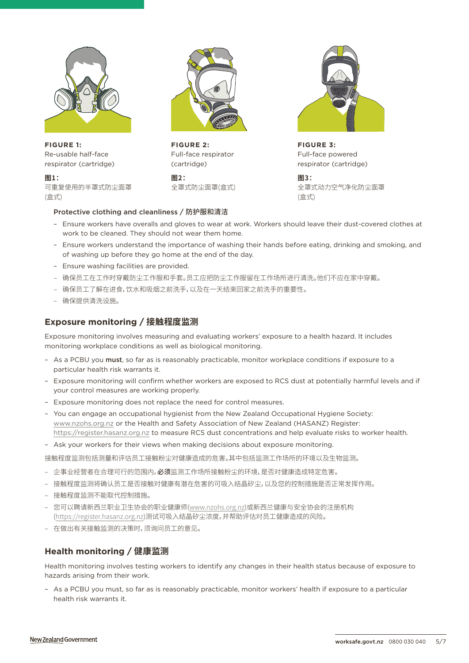

**FIGURE 1:** Re-usable half-face respirator (cartridge)

**图1:**

可重复使用的半罩式防尘面罩 (盒式)



**FIGURE 2:** Full-face respirator (cartridge)

**图2:** 全罩式防尘面罩(盒式)



**FIGURE 3:** Full-face powered respirator (cartridge)

> **图3:** 全罩式动力空气净化防尘面罩 (盒式)

## Protective clothing and cleanliness / 防护服和清洁

- Ensure workers have overalls and gloves to wear at work. Workers should leave their dust-covered clothes at work to be cleaned. They should not wear them home.
- Ensure workers understand the importance of washing their hands before eating, drinking and smoking, and of washing up before they go home at the end of the day.
- Ensure washing facilities are provided.
- 确保员工在工作时穿戴防尘工作服和手套。员工应把防尘工作服留在工作场所进行清洗。他们不应在家中穿戴。
- 确保员工了解在进食,饮水和吸烟之前洗手,以及在一天结束回家之前洗手的重要性。
- 确保提供清洗设施。

# **Exposure monitoring / 接触程度监测**

Exposure monitoring involves measuring and evaluating workers' exposure to a health hazard. It includes monitoring workplace conditions as well as biological monitoring.

- As a PCBU you must, so far as is reasonably practicable, monitor workplace conditions if exposure to a particular health risk warrants it.
- Exposure monitoring will confirm whether workers are exposed to RCS dust at potentially harmful levels and if your control measures are working properly.
- Exposure monitoring does not replace the need for control measures.
- You can engage an occupational hygienist from the New Zealand Occupational Hygiene Society: [www.nzohs.org.nz](http://www.nzohs.org.nz) or the Health and Safety Association of New Zealand (HASANZ) Register: <https://register.hasanz.org.nz>to measure RCS dust concentrations and help evaluate risks to worker health.
- Ask your workers for their views when making decisions about exposure monitoring.

接触程度监测包括测量和评估员工接触粉尘对健康造成的危害。其中包括监测工作场所的环境以及生物监测。

- 企事业经营者在合理可行的范围内,必须监测工作场所接触粉尘的环境,是否对健康造成特定危害。
- 接触程度监测将确认员工是否接触对健康有潜在危害的可吸入结晶矽尘,以及您的控制措施是否正常发挥作用。
- 接触程度监测不能取代控制措施。
- 您可以聘请新西兰职业卫生协会的职业健康师([www.nzohs.org.nz\)](http://www.nzohs.org.nz)或新西兰健康与安全协会的注册机构 (<https://register.hasanz.org.nz>)测试可吸入结晶矽尘浓度,并帮助评估对员工健康造成的风险。
- 在做出有关接触监测的决策时,须询问员工的意见。

# **Health monitoring / 健康监测**

Health monitoring involves testing workers to identify any changes in their health status because of exposure to hazards arising from their work.

– As a PCBU you must, so far as is reasonably practicable, monitor workers' health if exposure to a particular health risk warrants it.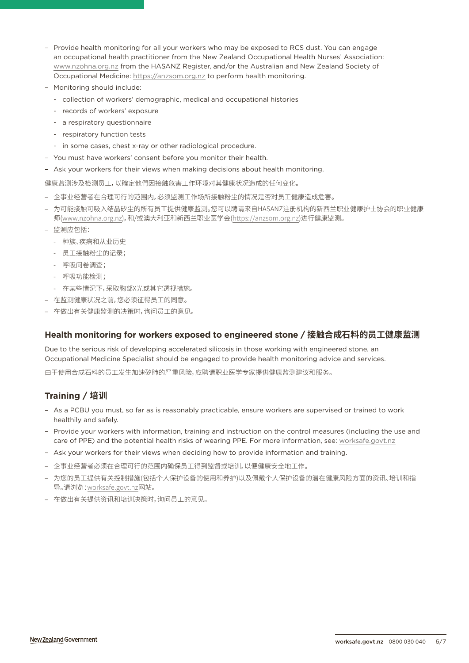- Provide health monitoring for all your workers who may be exposed to RCS dust. You can engage an occupational health practitioner from the New Zealand Occupational Health Nurses' Association: [www.nzohna.org.nz](http://www.nzohna.org.nz) from the HASANZ Register, and/or the Australian and New Zealand Society of Occupational Medicine:<https://anzsom.org.nz>to perform health monitoring.
- Monitoring should include:
	- collection of workers' demographic, medical and occupational histories
	- records of workers' exposure
	- a respiratory questionnaire
	- respiratory function tests
	- in some cases, chest x-ray or other radiological procedure.
- You must have workers' consent before you monitor their health.
- Ask your workers for their views when making decisions about health monitoring.

健康监测涉及检测员工,以確定他們因接触危害工作环境对其健康状况造成的任何变化。

- 企事业经营者在合理可行的范围内,必须监测工作场所接触粉尘的情况是否对员工健康造成危害。
- 为可能接触可吸入结晶矽尘的所有员工提供健康监测。您可以聘请来自HASANZ注册机构的新西兰职业健康护士协会的职业健康 师[\(www.nzohna.org.nz\)](http://www.nzohna.org.nz),和/或澳大利亚和新西兰职业医学会[\(https://anzsom.org.nz](https://anzsom.org.nz))进行健康监测。
- 监测应包括:
	- 种族、疾病和从业历史
	- 员工接触粉尘的记录;
	- 呼吸问卷调查;
	- 呼吸功能检测;
	- 在某些情況下,采取胸部X光或其它透视措施。
- 在监测健康状况之前,您必须征得员工的同意。
- 在做出有关健康监测的决策时,询问员工的意见。

## **Health monitoring for workers exposed to engineered stone / 接触合成石料的员工健康监测**

Due to the serious risk of developing accelerated silicosis in those working with engineered stone, an Occupational Medicine Specialist should be engaged to provide health monitoring advice and services.

由于使用合成石料的员工发生加速矽肺的严重风险,应聘请职业医学专家提供健康监测建议和服务。

# **Training / 培训**

- As a PCBU you must, so far as is reasonably practicable, ensure workers are supervised or trained to work healthily and safely.
- Provide your workers with information, training and instruction on the control measures (including the use and care of PPE) and the potential health risks of wearing PPE. For more information, see: [worksafe.govt.nz](https://worksafe.govt.nz/topic-and-industry/personal-protective-equipment-ppe/respiratory-protective-equipment/advice-for-businesses/)
- Ask your workers for their views when deciding how to provide information and training.
- 企事业经营者必须在合理可行的范围内确保员工得到监督或培训,以便健康安全地工作。
- 为您的员工提供有关控制措施(包括个人保护设备的使用和养护)以及佩戴个人保护设备的潜在健康风险方面的资讯、培训和指 导。请浏览[:worksafe.govt.nz](https://worksafe.govt.nz/topic-and-industry/personal-protective-equipment-ppe/respiratory-protective-equipment/advice-for-businesses/)网站[。](https://worksafe.govt.nz/topic-and-industry/personal-protective-equipment-ppe/respiratory-protective-equipment/advice-for-businesses/)
- 在做出有关提供资讯和培训决策时,询问员工的意见。